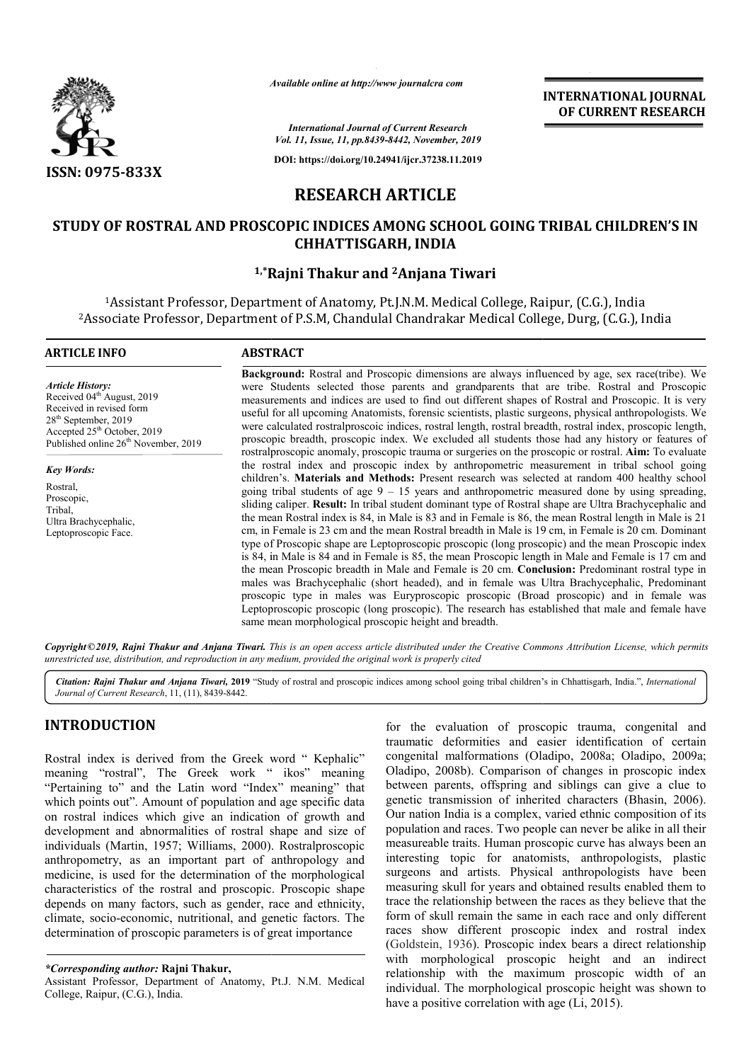

*Available*

**INTERNATIONAL JOURNAL OF CURRENT RESEARCH**

*International Journal of Current Research Vol. 11, Issue, 11, pp.8439-8442, November, 2019*

**DOI: https://doi.org/10.24941/ijcr.37238.11.2019**

# **RESEARCH ARTICLE**

## **STUDY OF ROSTRAL AND PROSCOPIC INDICES AMONG SCHOOL GOING TRIBAL CHILDREN'S IN CHHATTISGARH, INDIA**

## **1,\*Rajni Thakur and Rajni 2Anjana Tiwari**

<sup>1</sup>Assistant Professor, Department of Anatomy, Pt.J.N.M. Medical College, Raipur, (C.G.), India 2Associate Professor, Department of P.S.M, Chandulal Chandrakar Medical College, Durg, (C.G.), India Associate

# **ARTICLE INFO ABSTRACT**

*Article History:* Received 04<sup>th</sup> August, 2019 Received in revised form 28<sup>th</sup> September, 2019 Accepted 25<sup>th</sup> October, 2019 Published online 26<sup>th</sup> November, 2019

*Key Words:* Rostral, Proscopic, Tribal, Ultra Brachycephalic, Leptoproscopic Face.

Background: Rostral and Proscopic dimensions are always influenced by age, sex race(tribe). We were Students selected those parents and grandparents that are tribe. Rostral and Proscopic measurements and indices are used to find out different shapes of Rostral and Proscopic. It is very useful for all upcoming Anatomists, forensic scientists, plastic surgeons, physical anthropologists. We were calculated rostralproscoic indices, rostral length, rostral breadth, rostral index, proscopic length, proscopic breadth, proscopic index. We excluded all students those had any history or features of rostralproscopic anomaly, proscopic trauma or surgeries on the proscopic or rostral. Aim: To evaluate the rostral index and proscopic index by anthropometric measurement in tribal school going children's. **Materials and Methods:** Present research was selected at random 400 healthy school going tribal students of age  $9 - 15$  years and anthropometric measured done by using spreading, sliding caliper. **Result:** In tribal student dominant type of Rostral shape are Ultra Brachycephalic and the mean Rostral index is 84, in Male is 83 and in Female is 86, the mean Rostral length in Male is 21 cm, in Female is 23 cm and the mean Rostral breadth in Male is 19 cm, in Female is 20 cm. Dominant type of Proscopic shape are Leptoproscopic proscopic (long proscopic) and the mean Proscopic index is 84, in Male is 84 and in Female is 85, the mean Proscopic length in Male and Female is 17 cm and the mean Proscopic breadth in Male and Female is 20 cm. **Conclusion: Conclusion:** Predominant rostral type in males was Brachycephalic (short headed), and in female was Ultra Brachycephalic, Predominant proscopic type in males was Eu Euryproscopic proscopic (Broad proscopic) and in female was Leptoproscopic proscopic (long proscopic). The research has established that male and female have same mean morphological proscopic height and breadth. n Female is 23 cm and the mean Rostral breadth in Male is 19 cm, in Female is 20 cm. Dominant<br>of Proscopic shape are Leptoproscopic proscopic (long proscopic) and the mean Proscopic index<br>, in Male is 84 and in Female is 8 Available online at http://www.journalcra.com<br>
International Journal of Current Researc<br>
Vol. 11, Issue, 11, pp.8439-8442, November,<br>
DOI: https://doi.org/10.24941/ijcr.37238.11.<br> **RESEARCH ARTICLE**<br>
SCOPIC INDICES AMONG S measurements and indices are used to find out different shapes of Rostral and Proscopic. It is very useful for all upcoming Anatomists, forensic scientists, plastic surgeons, physical anthropologists. We were calculated ro the rostral index and proscopic index by anthropometric measurement in tribal school geological children's. **Materials and Methods:** Present research was selected at random 400 healthy school going tribal students of age males was Brachycephalic (short headed), and in female was Ultra Brachycephalic, Predom<br>proscopic type in males was Euryproscopic proscopic (Broad proscopic) and in female<br>Leptoproscopic proscopic (long proscopic). The res

Copyright©2019, Rajni Thakur and Anjana Tiwari. This is an open access article distributed under the Creative Commons Attribution License, which permits *unrestricted use, distribution, and reproduction in any medium, provided the original work is properly cited*

Citation: Rajni Thakur and Anjana Tiwari, 2019 "Study of rostral and proscopic indices among school going tribal children's in Chhattisgarh, India.", *International Journal of Current Research*, 11, (11), 8439-8442.

## **INTRODUCTION**

Rostral index is derived from the Greek word " Kephalic" meaning "rostral", The Greek work " ikos" meaning "Pertaining to" and the Latin word "Index" meaning" that which points out". Amount of population and age specific data on rostral indices which give an indication of growth and development and abnormalities of rostral shape and size of individuals (Martin, 1957; Williams, 2000). . Rostralproscopic anthropometry, as an important part of anthropology and medicine, is used for the determination of the morphological characteristics of the rostral and proscopic. Proscopic shape depends on many factors, such as gender, race and ethnicity, characteristics of the rostral and proscopic. Proscopic shape depends on many factors, such as gender, race and ethnicity, climate, socio-economic, nutritional, and genetic factors. The determination of proscopic parameters is of great importance

for the evaluation of proscopic trauma, congenital and traumatic deformities and easier identification of certain for the evaluation of proscopic trauma, congenital and traumatic deformities and easier identification of certain congenital malformations (Oladipo, 2008a; Oladipo, 2009a; Oladipo, 2008b). Comparison of changes in proscopic index Oladipo, 2008b). Comparison of changes in proscopic index between parents, offspring and siblings can give a clue to genetic transmission of inherited characters (Bhasin, 2006). Our nation India is a complex, varied ethnic composition of its population and races. Two people can never be alike in all their measureable traits. Human proscopic curve has always been an interesting topic for anatomists, anthropologists, plastic surgeons and artists. Physical anthropologists have been measuring skull for years and obtained results enabled them to trace the relationship between the races as they believe that the form of skull remain the same in each race and only different races show different proscopic index and rostral index (Goldstein, 1936). Proscopic index bears a direct relationship with morphological proscopic height and an indirect relationship with the maximum proscopic width of an with morphological proscopic height and an indirect relationship with the maximum proscopic width of an individual. The morphological proscopic height was shown to have a positive correlation with age (Li, 2015). Our nation India is a complex, varied ethnic composition of its<br>population and races. Two people can never be alike in all their<br>measureable traits. Human proscopic curve has always been an<br>interesting topic for anatomists

*<sup>\*</sup>Corresponding author:* **Rajni Thakur,**

Assistant Professor, Department of Anatomy, Pt.J. N.M. Medical College, Raipur, (C.G.), India.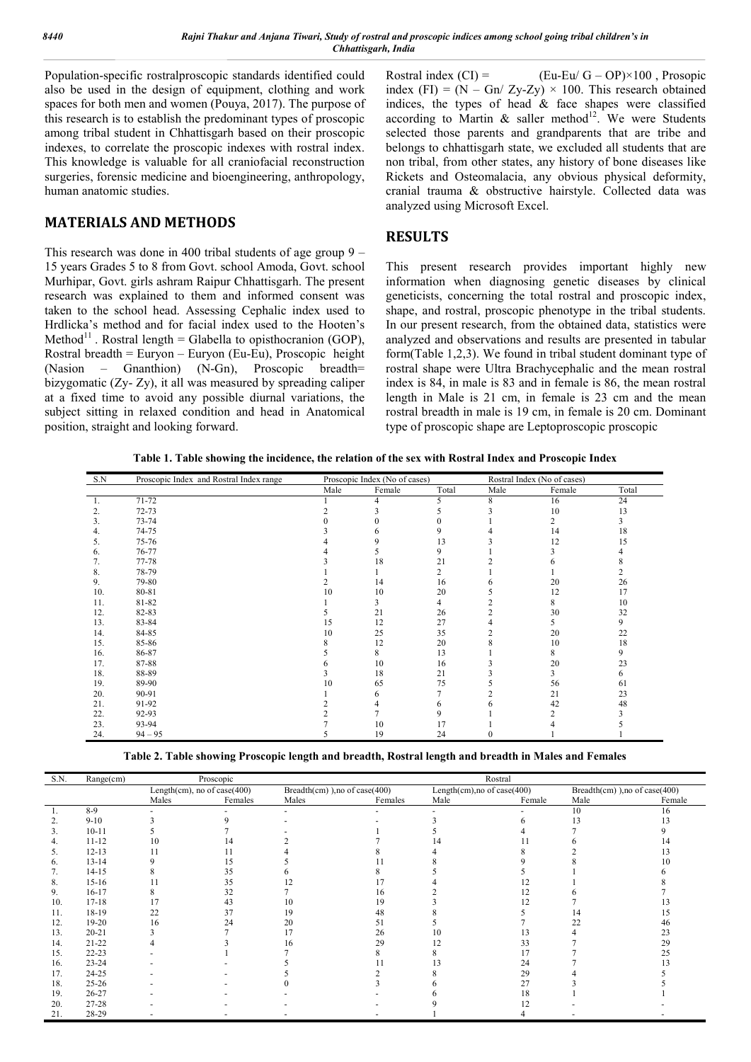Population-specific rostralproscopic standards identified could also be used in the design of equipment, clothing and work spaces for both men and women (Pouya, 2017). The purpose of this research is to establish the predominant types of proscopic among tribal student in Chhattisgarh based on their proscopic indexes, to correlate the proscopic indexes with rostral index. This knowledge is valuable for all craniofacial reconstruction surgeries, forensic medicine and bioengineering, anthropology, human anatomic studies.

## **MATERIALS AND METHODS**

This research was done in 400 tribal students of age group 9 – 15 years Grades 5 to 8 from Govt. school Amoda, Govt. school Murhipar, Govt. girls ashram Raipur Chhattisgarh. The present research was explained to them and informed consent was taken to the school head. Assessing Cephalic index used to Hrdlicka's method and for facial index used to the Hooten's Method<sup>11</sup> . Rostral length = Glabella to opisthocranion (GOP), Rostral breadth = Euryon – Euryon (Eu-Eu), Proscopic height (Nasion – Gnanthion) (N-Gn), Proscopic breadth= bizygomatic (Zy- Zy), it all was measured by spreading caliper at a fixed time to avoid any possible diurnal variations, the subject sitting in relaxed condition and head in Anatomical position, straight and looking forward.

Rostral index  $(Cl) =$  (Eu-Eu/ G – OP)×100, Prosopic index (FI) =  $(N - Gn / Zy-Zy) \times 100$ . This research obtained indices, the types of head  $\&$  face shapes were classified according to Martin & saller method<sup>12</sup>. We were Students selected those parents and grandparents that are tribe and belongs to chhattisgarh state, we excluded all students that are non tribal, from other states, any history of bone diseases like Rickets and Osteomalacia, any obvious physical deformity, cranial trauma & obstructive hairstyle. Collected data was analyzed using Microsoft Excel.

#### **RESULTS**

This present research provides important highly new information when diagnosing genetic diseases by clinical geneticists, concerning the total rostral and proscopic index, shape, and rostral, proscopic phenotype in the tribal students. In our present research, from the obtained data, statistics were analyzed and observations and results are presented in tabular form(Table 1,2,3). We found in tribal student dominant type of rostral shape were Ultra Brachycephalic and the mean rostral index is 84, in male is 83 and in female is 86, the mean rostral length in Male is 21 cm, in female is 23 cm and the mean rostral breadth in male is 19 cm, in female is 20 cm. Dominant type of proscopic shape are Leptoproscopic proscopic

**Table 1. Table showing the incidence, the relation of the sex with Rostral Index and Proscopic Index**

| S.N | Proscopic Index and Rostral Index range | Proscopic Index (No of cases) |        | Rostral Index (No of cases) |      |        |       |
|-----|-----------------------------------------|-------------------------------|--------|-----------------------------|------|--------|-------|
|     |                                         | Male                          | Female | Total                       | Male | Female | Total |
| 1.  | 71-72                                   |                               | 4      |                             | 8    | 16     | 24    |
| 2.  | 72-73                                   |                               |        |                             |      | 10     | 13    |
| 3.  | 73-74                                   |                               |        |                             |      |        |       |
| 4.  | 74-75                                   |                               |        |                             |      | 14     | 18    |
| 5.  | 75-76                                   |                               |        | 13                          |      | 12     | 15    |
| 6.  | 76-77                                   |                               |        | <sup>Q</sup>                |      |        |       |
| 7.  | 77-78                                   |                               | 18     | 21                          |      |        |       |
| 8.  | 78-79                                   |                               |        | $\overline{c}$              |      |        |       |
| 9.  | 79-80                                   |                               | 14     | 16                          |      | 20     | 26    |
| 10. | 80-81                                   | 10                            | 10     | 20                          |      | 12     | 17    |
| 11. | 81-82                                   |                               |        |                             |      | 8      | 10    |
| 12. | 82-83                                   |                               | 21     | 26                          |      | 30     | 32    |
| 13. | 83-84                                   | 15                            | 12     | 27                          |      |        | 9     |
| 14. | 84-85                                   | 10                            | 25     | 35                          |      | 20     | 22    |
| 15. | 85-86                                   |                               | 12     | 20                          |      | 10     | 18    |
| 16. | 86-87                                   |                               | 8      | 13                          |      | 8      | 9     |
| 17. | 87-88                                   |                               | 10     | 16                          |      | 20     | 23    |
| 18. | 88-89                                   |                               | 18     | 21                          |      |        | 6     |
| 19. | 89-90                                   | 10                            | 65     | 75                          |      | 56     | 61    |
| 20. | 90-91                                   |                               | h      |                             |      | 21     | 23    |
| 21. | 91-92                                   |                               |        |                             |      | 42     | 48    |
| 22. | 92-93                                   |                               |        |                             |      |        |       |
| 23. | 93-94                                   |                               | 10     | 17                          |      |        |       |
| 24. | $94 - 95$                               |                               | 19     | 24                          | 0    |        |       |

|  | Table 2. Table showing Proscopic length and breadth, Rostral length and breadth in Males and Females |
|--|------------------------------------------------------------------------------------------------------|
|  |                                                                                                      |
|  |                                                                                                      |

| S.N. | Range(cm) | Proscopic                          |         |                                |         | Rostral                     |        |                                      |        |
|------|-----------|------------------------------------|---------|--------------------------------|---------|-----------------------------|--------|--------------------------------------|--------|
|      |           | Length $(cm)$ , no of case $(400)$ |         | Breadth(cm) ), no of case(400) |         | Length(cm), no of case(400) |        | Breadth $(cm)$ ), no of case $(400)$ |        |
|      |           | Males                              | Females | Males                          | Females | Male                        | Female | Male                                 | Female |
|      | $8-9$     |                                    |         |                                |         |                             |        | 10                                   | 16     |
|      | $9 - 10$  |                                    |         |                                |         |                             |        | 13                                   | ۱3     |
|      | $10 - 11$ |                                    |         |                                |         |                             |        |                                      |        |
|      | $11 - 12$ | 10                                 | 14      |                                |         |                             |        |                                      |        |
|      | $12 - 13$ |                                    |         |                                |         |                             |        |                                      |        |
| 6.   | $13 - 14$ |                                    | 5       |                                |         |                             |        |                                      |        |
| 7.   | $14 - 15$ |                                    | 35      |                                |         |                             |        |                                      |        |
| 8.   | $15-16$   |                                    | 35      |                                |         |                             |        |                                      |        |
| 9.   | $16 - 17$ |                                    | 32      |                                | 16      |                             |        |                                      |        |
| 10.  | $17 - 18$ |                                    | 43      | 10                             | 19      |                             |        |                                      |        |
| 11.  | 18-19     | 22                                 | 37      | 19                             | 48      |                             |        |                                      | 15     |
| 12.  | 19-20     | 16                                 | 24      | 20                             | 51      |                             |        |                                      | 46     |
| 13.  | $20 - 21$ |                                    |         |                                | 26      | 10                          |        |                                      | 23     |
| 14.  | $21 - 22$ |                                    |         | 16                             | 29      | $\overline{1}$              | 33     |                                      | 29     |
| 15.  | $22 - 23$ |                                    |         |                                |         |                             |        |                                      | 25     |
| 16.  | $23 - 24$ |                                    |         |                                |         |                             | 24     |                                      |        |
| 17.  | $24 - 25$ |                                    |         |                                |         |                             | 29     |                                      |        |
| 18.  | $25 - 26$ |                                    |         |                                |         |                             | 27     |                                      |        |
| 19.  | 26-27     |                                    |         |                                |         |                             | 18     |                                      |        |
| 20.  | 27-28     |                                    |         |                                |         |                             |        |                                      |        |
| 21.  | 28-29     |                                    |         |                                |         |                             |        |                                      |        |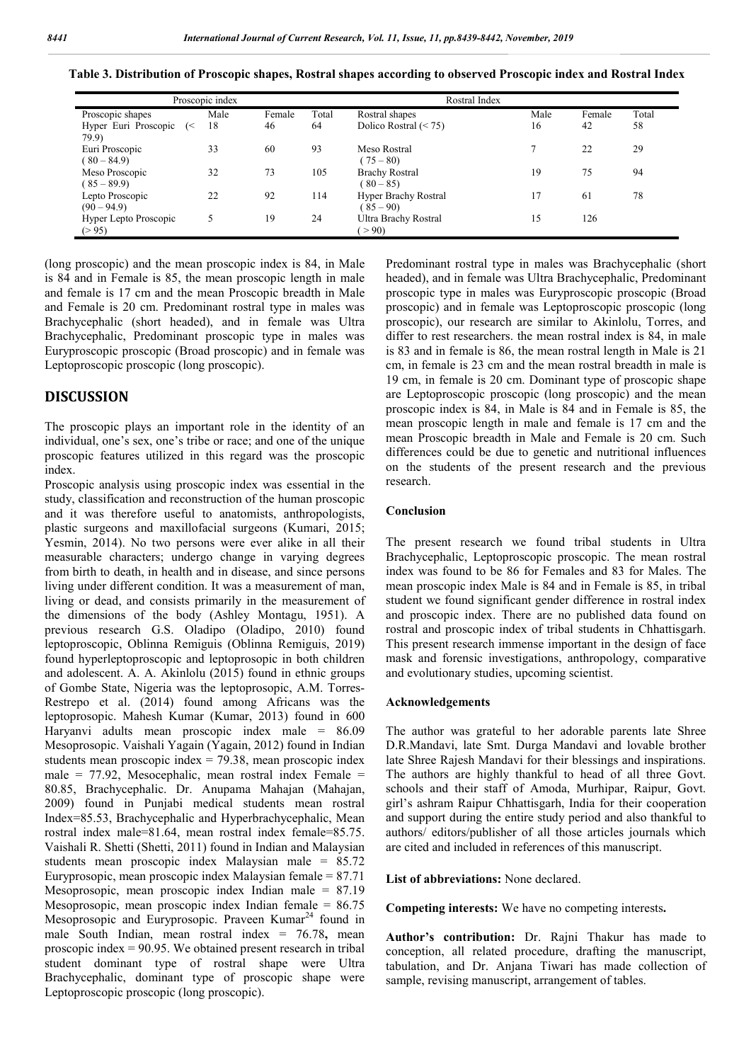|                                  | Proscopic index |        | Rostral Index |                                            |      |        |       |
|----------------------------------|-----------------|--------|---------------|--------------------------------------------|------|--------|-------|
| Proscopic shapes                 | Male            | Female | Total         | Rostral shapes                             | Male | Female | Total |
| Hyper Euri Proscopic (<<br>79.9) | 18              | 46     | 64            | Dolico Rostral $(< 75)$                    | 16   | 42     | 58    |
| Euri Proscopic<br>$(80 - 84.9)$  | 33              | 60     | 93            | Meso Rostral<br>$(75 - 80)$                |      | 22     | 29    |
| Meso Proscopic<br>$(85 - 89.9)$  | 32              | 73     | 105           | <b>Brachy Rostral</b><br>$(80 - 85)$       | 19   | 75     | 94    |
| Lepto Proscopic<br>$(90 - 94.9)$ | 22              | 92     | 114           | <b>Hyper Brachy Rostral</b><br>$(85 - 90)$ |      | 61     | 78    |
| Hyper Lepto Proscopic<br>(> 95)  | 5               | 19     | 24            | Ultra Brachy Rostral<br>> 90               | 15   | 126    |       |

**Table 3. Distribution of Proscopic shapes, Rostral shapes according to observed Proscopic index and Rostral Index**

(long proscopic) and the mean proscopic index is 84, in Male is 84 and in Female is 85, the mean proscopic length in male and female is 17 cm and the mean Proscopic breadth in Male and Female is 20 cm. Predominant rostral type in males was Brachycephalic (short headed), and in female was Ultra Brachycephalic, Predominant proscopic type in males was Euryproscopic proscopic (Broad proscopic) and in female was Leptoproscopic proscopic (long proscopic).

#### **DISCUSSION**

The proscopic plays an important role in the identity of an individual, one's sex, one's tribe or race; and one of the unique proscopic features utilized in this regard was the proscopic index.

Proscopic analysis using proscopic index was essential in the study, classification and reconstruction of the human proscopic and it was therefore useful to anatomists, anthropologists, plastic surgeons and maxillofacial surgeons (Kumari, 2015; Yesmin, 2014). No two persons were ever alike in all their measurable characters; undergo change in varying degrees from birth to death, in health and in disease, and since persons living under different condition. It was a measurement of man, living or dead, and consists primarily in the measurement of the dimensions of the body (Ashley Montagu, 1951). A previous research G.S. Oladipo (Oladipo, 2010) found leptoproscopic, Oblinna Remiguis (Oblinna Remiguis, 2019) found hyperleptoproscopic and leptoprosopic in both children and adolescent. A. A. Akinlolu (2015) found in ethnic groups of Gombe State, Nigeria was the leptoprosopic, A.M. Torres-Restrepo et al. (2014) found among Africans was the leptoprosopic. Mahesh Kumar (Kumar, 2013) found in 600 Haryanvi adults mean proscopic index male = 86.09 Mesoprosopic. Vaishali Yagain (Yagain, 2012) found in Indian students mean proscopic index  $= 79.38$ , mean proscopic index male =  $77.92$ , Mesocephalic, mean rostral index Female = 80.85, Brachycephalic. Dr. Anupama Mahajan (Mahajan, 2009) found in Punjabi medical students mean rostral Index=85.53, Brachycephalic and Hyperbrachycephalic, Mean rostral index male=81.64, mean rostral index female=85.75. Vaishali R. Shetti (Shetti, 2011) found in Indian and Malaysian students mean proscopic index Malaysian male = 85.72 Euryprosopic, mean proscopic index Malaysian female = 87.71 Mesoprosopic, mean proscopic index Indian male = 87.19 Mesoprosopic, mean proscopic index Indian female =  $86.75$ Mesoprosopic and Euryprosopic. Praveen Kumar<sup>24</sup> found in male South Indian, mean rostral index = 76.78**,** mean proscopic index = 90.95. We obtained present research in tribal student dominant type of rostral shape were Ultra Brachycephalic, dominant type of proscopic shape were Leptoproscopic proscopic (long proscopic).

Predominant rostral type in males was Brachycephalic (short headed), and in female was Ultra Brachycephalic, Predominant proscopic type in males was Euryproscopic proscopic (Broad proscopic) and in female was Leptoproscopic proscopic (long proscopic), our research are similar to Akinlolu, Torres, and differ to rest researchers. the mean rostral index is 84, in male is 83 and in female is 86, the mean rostral length in Male is 21 cm, in female is 23 cm and the mean rostral breadth in male is 19 cm, in female is 20 cm. Dominant type of proscopic shape are Leptoproscopic proscopic (long proscopic) and the mean proscopic index is 84, in Male is 84 and in Female is 85, the mean proscopic length in male and female is 17 cm and the mean Proscopic breadth in Male and Female is 20 cm. Such differences could be due to genetic and nutritional influences on the students of the present research and the previous research.

#### **Conclusion**

The present research we found tribal students in Ultra Brachycephalic, Leptoproscopic proscopic. The mean rostral index was found to be 86 for Females and 83 for Males. The mean proscopic index Male is 84 and in Female is 85, in tribal student we found significant gender difference in rostral index and proscopic index. There are no published data found on rostral and proscopic index of tribal students in Chhattisgarh. This present research immense important in the design of face mask and forensic investigations, anthropology, comparative and evolutionary studies, upcoming scientist.

#### **Acknowledgements**

The author was grateful to her adorable parents late Shree D.R.Mandavi, late Smt. Durga Mandavi and lovable brother late Shree Rajesh Mandavi for their blessings and inspirations. The authors are highly thankful to head of all three Govt. schools and their staff of Amoda, Murhipar, Raipur, Govt. girl's ashram Raipur Chhattisgarh, India for their cooperation and support during the entire study period and also thankful to authors/ editors/publisher of all those articles journals which are cited and included in references of this manuscript.

**List of abbreviations:** None declared.

**Competing interests:** We have no competing interests**.**

**Author's contribution:** Dr. Rajni Thakur has made to conception, all related procedure, drafting the manuscript, tabulation, and Dr. Anjana Tiwari has made collection of sample, revising manuscript, arrangement of tables.